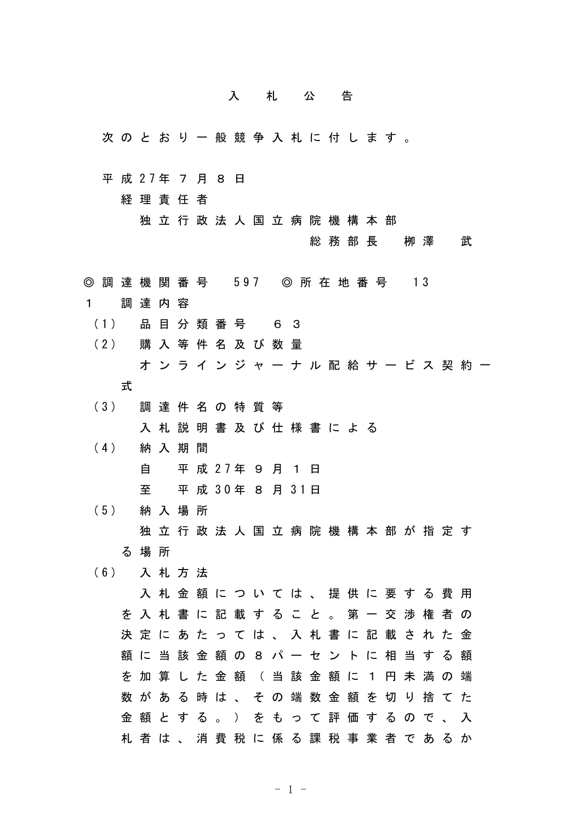## 入札公告

次のとおり一般競争入札に付します。

平 成 27年 7 月 8 日

経理責任者

独立行政法人国立病院機構本部

総務部長 栁澤 武

- ◎ 調 達 機 関 番 号 597 ◎ 所 在 地 番 号 13
- 1 調達内容
- (1) 品 目 分 類 番 号 6 3
- (2) 購 入 等 件 名 及 び 数 量 オンラインジャーナル配給サービス契約一 式
- (3) 調 達 件 名 の 特 質 等 入札説明書及び仕様書による
- (4) 納 入 期 間 自 平 成 27年 9 月 1 日 至 平 成 30年 8 月 31日
- (5) 納 入 場 所 独立行政法人国立病院機構本部が指定す る場所
- (6) 入 札 方 法

入札金額については、提供に要する費用 を入札書に記載すること。第一交渉権者の 決定にあたっては、入札書に記載された金 額に当該金額の8パーセントに相当する額 を加算した金額(当該金額に1円未満の端 数がある時は、その端数金額を切り捨てた 金額とする。)をもって評価するので、入 札者は、消費税に係る課税事業者であるか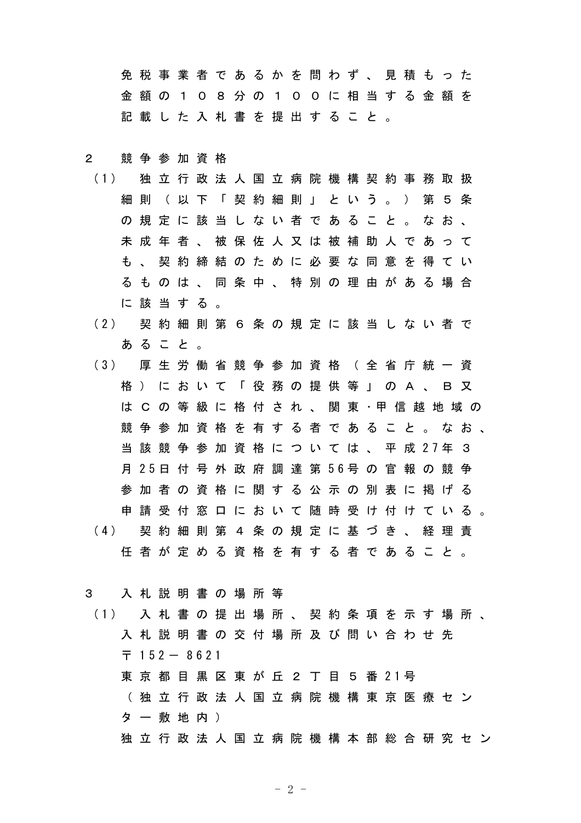免税事業者であるかを問わず、見積もった 金額の108分の100に相当する金額を 記載した入札書を提出すること。

## 2 競争参加資格

- (1) 独 立 行 政 法 人 国 立 病 院 機 構 契 約 事 務 取 扱 細則(以下「契約細則」という。) 第5条 の規定に該当しない者であること。なお、 未成年者、被保佐人又は被補助人であって も、契約締結のために必要な同意を得てい るものは、同条中、特別の理由がある場合 に該当する。
- (2) 契 約 細 則 第 6 条 の 規 定 に 該 当 し な い 者 で あること。
- (3) 厚 生 労 働 省 競 争 参 加 資 格 ( 全 省 庁 統 一 資 格)において「役務の提供等」のA、B又 は C の 等 級 に 格 付 さ れ 、 関 東 ・甲 信 越 地 域 の 競争参加資格を有する者であること。なお、 当 該 競 争 参 加 資 格 に つ い て は 、 平 成 27年 3 月 25日 付 号 外 政 府 調 達 第 56号 の 官 報 の 競 争 参加者の資格に関する公示の別表に掲げる 申請受付窓口において随時受け付けている。 (4) 契 約 細 則 第 4 条 の 規 定 に 基 づ き 、 経 理 責 任者が定める資格を有する者であること。

3 入札説明書の場所等

(1) 入 札 書 の 提 出 場 所 、 契 約 条 項 を 示 す 場 所 、 入札説明書の交付場所及び問い合わせ先  $7152 - 8621$ 東 京 都 目 黒 区 東 が 丘 2 丁 目 5 番 21号 (独立行政法人国立病院機構東京医療セン ター敷地内) 独立行政法人国立病院機構本部総合研究セン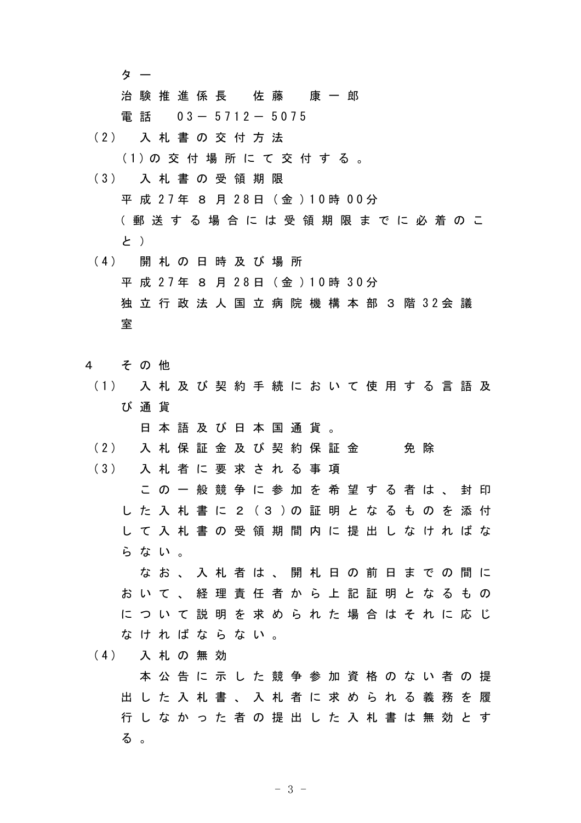タ ー

治験推進係長 佐藤 康一郎

雷 話 03- 5712- 5075

(2) 入 札 書 の 交 付 方 法

(1)の 交 付 場 所 に て 交 付 す る 。

- (3) 入 札 書 の 受 領 期 限 平 成 27年 8 月 28日 (金 )10時 00分 (郵送する場合には受領期限までに必着のこ と )
- (4) 開 札 の 日 時 及 び 場 所 平 成 27年 8 月 28日 (金 )10時 30分 独 立 行 政 法 人 国 立 病 院 機 構 本 部 3 階 32会 議 室
- 4 その他
- (1) 入 札 及 び 契 約 手 続 に お い て 使 用 す る 言 語 及 び通貨

日本語及び日本国通貨。

(2) 入 札 保 証 金 及 び 契 約 保 証 金 の 免 除

(3) 入 札 者 に 要 求 さ れ る 事 項

この一般競争に参加を希望する者は、封印 し た 入 札 書 に 2 (3 )の 証 明 と な る も の を 添 付 して入札書の受領期間内に提出しなければな らない。

なお、入札者は、開札日の前日までの間に おいて、経理責任者から上記証明となるもの について説明を求められた場合はそれに応じ なければならない。

(4) 入 札 の 無 効

本公告に示した競争参加資格のない者の提 出した入札書、入札者に求められる義務を履 行しなかった者の提出した入札書は無効とす る 。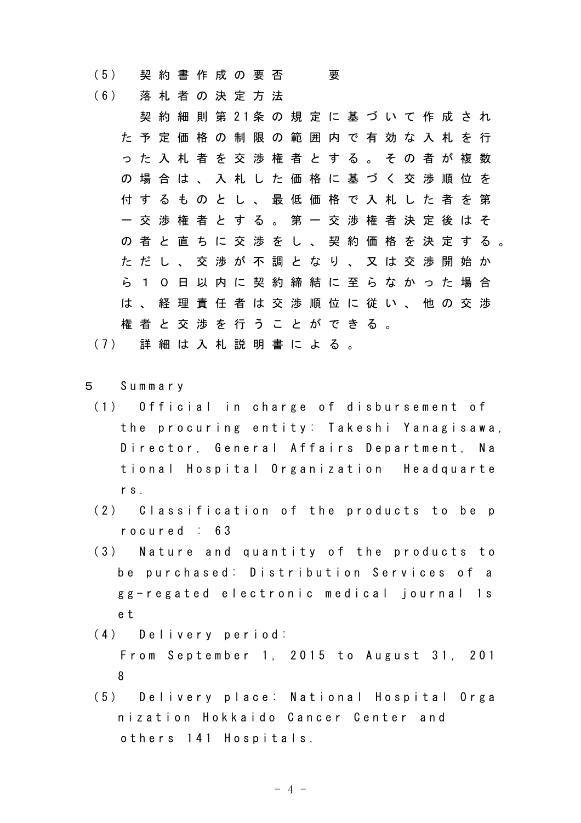(5) 契 約 書 作 成 の 要 否 要

(6) 落 札 者 の 決 定 方 法

契 約 細 則 第 21条 の 規 定 に 基 づ い て 作 成 さ れ た予定価格の制限の範囲内で有効な入札を行 った入札者を交渉権者とする。その者が複数 の場合は、入札した価格に基づく交渉順位を 付するものとし、最低価格で入札した者を第 一交渉権者とする。第一交渉権者決定後はそ の者と直ちに交渉をし、契約価格を決定する。 ただし、交渉が不調となり、又は交渉開始か ら10日以内に契約締結に至らなかった場合 は、経理責任者は交渉順位に従い、他の交渉 権者と交渉を行うことができる。

(7) 詳 細 は 入 札 説 明 書 に よ る 。

- 5 Summary
- (1) Official in charge of disbursement of the procuring entity: Takeshi Yanagisawa, Director, General Affairs Department, Na tional Hospital Organization Headquarte rs.
- (2) Classification of the products to be p rocured : 63
- (3) Nature and quantity of the products to be purchased: Distribution Services of a gg-regated electronic medical journal 1s e t
- (4) Delivery period:

From September 1, 2015 to August 31, 201 8

(5) Delivery place: National Hospital Orga nization Hokkaido Cancer Center and others 141 Hospitals.